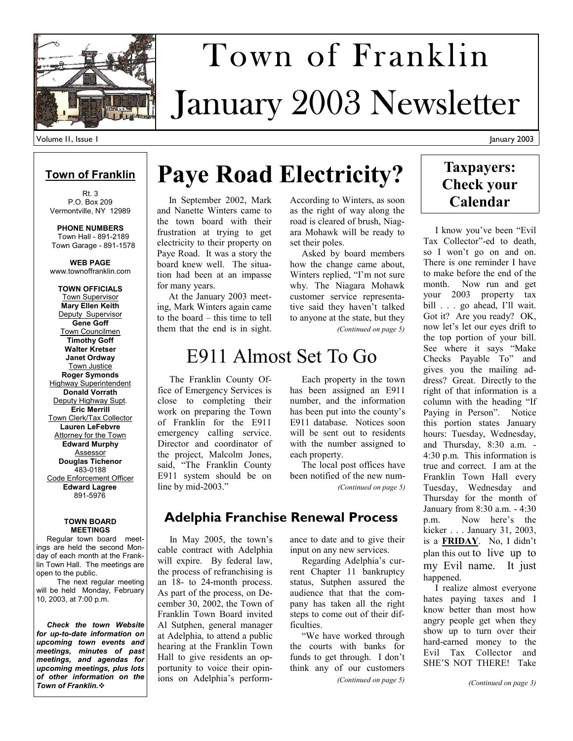

# January 2003 Newsletter Town of Franklin

### **Town of Franklin**

Rt. 3 P.O. Box 209 Vermontville, NY 12989

**PHONE NUMBERS**  Town Hall - 891-2189 Town Garage - 891-1578

**WEB PAGE**  www.townoffranklin.com

**TOWN OFFICIALS**  Town Supervisor **Mary Ellen Keith**  Deputy Supervisor **Gene Goff**  Town Councilmen **Timothy Goff Walter Kretser Janet Ordway**  Town Justice **Roger Symonds**  Highway Superintendent **Donald Vorrath**  Deputy Highway Supt. **Eric Merrill**  Town Clerk/Tax Collector **Lauren LeFebvre Attorney for the Town Edward Murphy**  Assessor **Douglas Tichenor**  483-0188 Code Enforcement Officer **Edward Lagree**  891-5976

#### **TOWN BOARD MEETINGS**

 Regular town board meetings are held the second Monday of each month at the Franklin Town Hall. The meetings are open to the public.

 The next regular meeting will be held Monday, February 10, 2003, at 7:00 p.m.

 *Check the town Website for up-to-date information on upcoming town events and meetings, minutes of past meetings, and agendas for upcoming meetings, plus lots of other information on the Town of Franklin.*

## **Paye Road Electricity?**

 In September 2002, Mark and Nanette Winters came to the town board with their frustration at trying to get electricity to their property on Paye Road. It was a story the board knew well. The situation had been at an impasse for many years.

 At the January 2003 meeting, Mark Winters again came to the board – this time to tell them that the end is in sight.

According to Winters, as soon as the right of way along the road is cleared of brush, Niagara Mohawk will be ready to set their poles. Asked by board members

how the change came about, Winters replied, "I'm not sure why. The Niagara Mohawk customer service representative said they haven't talked to anyone at the state, but they *(Continued on page 5)* 

## E911 Almost Set To Go

 The Franklin County Office of Emergency Services is close to completing their work on preparing the Town of Franklin for the E911 emergency calling service. Director and coordinator of the project, Malcolm Jones, said, "The Franklin County E911 system should be on line by mid-2003."

 Each property in the town has been assigned an E911 number, and the information has been put into the county's E911 database. Notices soon will be sent out to residents with the number assigned to each property.

 The local post offices have been notified of the new num- *(Continued on page 5)* 

### **Adelphia Franchise Renewal Process**

 In May 2005, the town's cable contract with Adelphia will expire. By federal law, the process of refranchising is an 18- to 24-month process. As part of the process, on December 30, 2002, the Town of Franklin Town Board invited Al Sutphen, general manager at Adelphia, to attend a public hearing at the Franklin Town Hall to give residents an opportunity to voice their opinions on Adelphia's performance to date and to give their input on any new services.

 Regarding Adelphia's current Chapter 11 bankruptcy status, Sutphen assured the audience that that the company has taken all the right steps to come out of their difficulties.

 "We have worked through the courts with banks for funds to get through. I don't think any of our customers

*(Continued on page 5)* 

### **Taxpayers: Check your Calendar**

 I know you've been "Evil Tax Collector"-ed to death, so I won't go on and on. There is one reminder I have to make before the end of the month. Now run and get your 2003 property tax bill . . . go ahead, I'll wait. Got it? Are you ready? OK, now let's let our eyes drift to the top portion of your bill. See where it says "Make Checks Payable To" and gives you the mailing address? Great. Directly to the right of that information is a column with the heading "If Paying in Person". Notice this portion states January hours: Tuesday, Wednesday, and Thursday, 8:30 a.m. - 4:30 p.m. This information is true and correct. I am at the Franklin Town Hall every Tuesday, Wednesday and Thursday for the month of January from 8:30 a.m. - 4:30 p.m. Now here's the kicker . . . January 31, 2003, is a **FRIDAY**. No, I didn't plan this out to live up to my Evil name. It just happened.

 I realize almost everyone hates paying taxes and I know better than most how angry people get when they show up to turn over their hard-earned money to the Evil Tax Collector and SHE'S NOT THERE! Take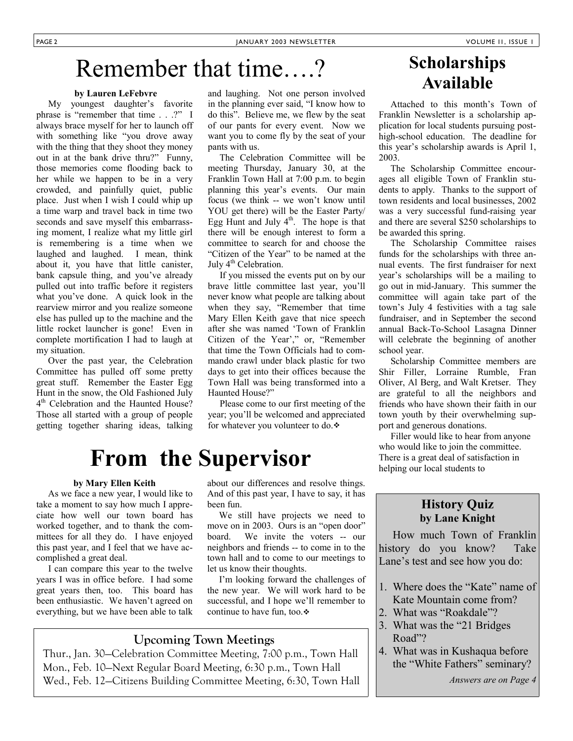## Remember that time….?

#### **by Lauren LeFebvre**

 My youngest daughter's favorite phrase is "remember that time . . .?" I always brace myself for her to launch off with something like "you drove away with the thing that they shoot they money out in at the bank drive thru?" Funny, those memories come flooding back to her while we happen to be in a very crowded, and painfully quiet, public place. Just when I wish I could whip up a time warp and travel back in time two seconds and save myself this embarrassing moment, I realize what my little girl is remembering is a time when we laughed and laughed. I mean, think about it, you have that little canister, bank capsule thing, and you've already pulled out into traffic before it registers what you've done. A quick look in the rearview mirror and you realize someone else has pulled up to the machine and the little rocket launcher is gone! Even in complete mortification I had to laugh at my situation.

 Over the past year, the Celebration Committee has pulled off some pretty great stuff. Remember the Easter Egg Hunt in the snow, the Old Fashioned July 4<sup>th</sup> Celebration and the Haunted House? Those all started with a group of people getting together sharing ideas, talking and laughing. Not one person involved in the planning ever said, "I know how to do this". Believe me, we flew by the seat of our pants for every event. Now we want you to come fly by the seat of your pants with us.

 The Celebration Committee will be meeting Thursday, January 30, at the Franklin Town Hall at 7:00 p.m. to begin planning this year's events. Our main focus (we think -- we won't know until YOU get there) will be the Easter Party/ Egg Hunt and July  $4<sup>th</sup>$ . The hope is that there will be enough interest to form a committee to search for and choose the "Citizen of the Year" to be named at the July  $4<sup>th</sup>$  Celebration.

 If you missed the events put on by our brave little committee last year, you'll never know what people are talking about when they say, "Remember that time Mary Ellen Keith gave that nice speech after she was named 'Town of Franklin Citizen of the Year'," or, "Remember that time the Town Officials had to commando crawl under black plastic for two days to get into their offices because the Town Hall was being transformed into a Haunted House?"

 Please come to our first meeting of the year; you'll be welcomed and appreciated for whatever you volunteer to do.

## **From the Supervisor**

#### **by Mary Ellen Keith**

 As we face a new year, I would like to take a moment to say how much I appreciate how well our town board has worked together, and to thank the committees for all they do. I have enjoyed this past year, and I feel that we have accomplished a great deal.

 I can compare this year to the twelve years I was in office before. I had some great years then, too. This board has been enthusiastic. We haven't agreed on everything, but we have been able to talk

about our differences and resolve things. And of this past year, I have to say, it has been fun.

 We still have projects we need to move on in 2003. Ours is an "open door" board. We invite the voters -- our neighbors and friends -- to come in to the town hall and to come to our meetings to let us know their thoughts.

 I'm looking forward the challenges of the new year. We will work hard to be successful, and I hope we'll remember to continue to have fun, too.

### **Upcoming Town Meetings**

Thur., Jan. 30—Celebration Committee Meeting, 7:00 p.m., Town Hall Mon., Feb. 10—Next Regular Board Meeting, 6:30 p.m., Town Hall Wed., Feb. 12—Citizens Building Committee Meeting, 6:30, Town Hall

## **Scholarships Available**

 Attached to this month's Town of Franklin Newsletter is a scholarship application for local students pursuing posthigh-school education. The deadline for this year's scholarship awards is April 1, 2003.

 The Scholarship Committee encourages all eligible Town of Franklin students to apply. Thanks to the support of town residents and local businesses, 2002 was a very successful fund-raising year and there are several \$250 scholarships to be awarded this spring.

 The Scholarship Committee raises funds for the scholarships with three annual events. The first fundraiser for next year's scholarships will be a mailing to go out in mid-January. This summer the committee will again take part of the town's July 4 festivities with a tag sale fundraiser, and in September the second annual Back-To-School Lasagna Dinner will celebrate the beginning of another school year.

 Scholarship Committee members are Shir Filler, Lorraine Rumble, Fran Oliver, Al Berg, and Walt Kretser. They are grateful to all the neighbors and friends who have shown their faith in our town youth by their overwhelming support and generous donations.

 Filler would like to hear from anyone who would like to join the committee. There is a great deal of satisfaction in helping our local students to

### **History Quiz by Lane Knight**

 How much Town of Franklin history do you know? Take Lane's test and see how you do:

- 1. Where does the "Kate" name of
- Kate Mountain come from? 2. What was "Roakdale"?
- 3. What was the "21 Bridges
- Road"?
- 4. What was in Kushaqua before the "White Fathers" seminary?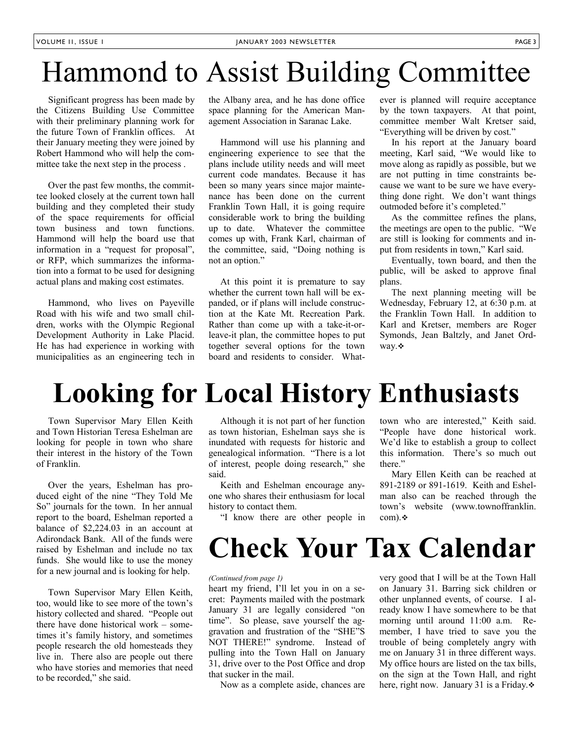## Hammond to Assist Building Committee

 Significant progress has been made by the Citizens Building Use Committee with their preliminary planning work for the future Town of Franklin offices. At their January meeting they were joined by Robert Hammond who will help the committee take the next step in the process .

 Over the past few months, the committee looked closely at the current town hall building and they completed their study of the space requirements for official town business and town functions. Hammond will help the board use that information in a "request for proposal", or RFP, which summarizes the information into a format to be used for designing actual plans and making cost estimates.

 Hammond, who lives on Payeville Road with his wife and two small children, works with the Olympic Regional Development Authority in Lake Placid. He has had experience in working with municipalities as an engineering tech in

the Albany area, and he has done office space planning for the American Management Association in Saranac Lake.

 Hammond will use his planning and engineering experience to see that the plans include utility needs and will meet current code mandates. Because it has been so many years since major maintenance has been done on the current Franklin Town Hall, it is going require considerable work to bring the building up to date. Whatever the committee comes up with, Frank Karl, chairman of the committee, said, "Doing nothing is not an option."

 At this point it is premature to say whether the current town hall will be expanded, or if plans will include construction at the Kate Mt. Recreation Park. Rather than come up with a take-it-orleave-it plan, the committee hopes to put together several options for the town board and residents to consider. Whatever is planned will require acceptance by the town taxpayers. At that point, committee member Walt Kretser said, "Everything will be driven by cost."

 In his report at the January board meeting, Karl said, "We would like to move along as rapidly as possible, but we are not putting in time constraints because we want to be sure we have everything done right. We don't want things outmoded before it's completed."

 As the committee refines the plans, the meetings are open to the public. "We are still is looking for comments and input from residents in town," Karl said.

 Eventually, town board, and then the public, will be asked to approve final plans.

 The next planning meeting will be Wednesday, February 12, at 6:30 p.m. at the Franklin Town Hall. In addition to Karl and Kretser, members are Roger Symonds, Jean Baltzly, and Janet Ordway. ❖

## **Looking for Local History Enthusiasts**

 Town Supervisor Mary Ellen Keith and Town Historian Teresa Eshelman are looking for people in town who share their interest in the history of the Town of Franklin.

 Over the years, Eshelman has produced eight of the nine "They Told Me So" journals for the town. In her annual report to the board, Eshelman reported a balance of \$2,224.03 in an account at Adirondack Bank. All of the funds were raised by Eshelman and include no tax funds. She would like to use the money for a new journal and is looking for help.

 Town Supervisor Mary Ellen Keith, too, would like to see more of the town's history collected and shared. "People out there have done historical work – sometimes it's family history, and sometimes people research the old homesteads they live in. There also are people out there who have stories and memories that need to be recorded," she said.

 Although it is not part of her function as town historian, Eshelman says she is inundated with requests for historic and genealogical information. "There is a lot of interest, people doing research," she said.

 Keith and Eshelman encourage anyone who shares their enthusiasm for local history to contact them.

"I know there are other people in

#### town who are interested," Keith said. "People have done historical work. We'd like to establish a group to collect this information. There's so much out there."

 Mary Ellen Keith can be reached at 891-2189 or 891-1619. Keith and Eshelman also can be reached through the town's website (www.townoffranklin.  $com.$ \*

## **Check Your Tax Calendar**

#### *(Continued from page 1)*

heart my friend, I'll let you in on a secret: Payments mailed with the postmark January 31 are legally considered "on time". So please, save yourself the aggravation and frustration of the "SHE"S NOT THERE!" syndrome. Instead of pulling into the Town Hall on January 31, drive over to the Post Office and drop that sucker in the mail.

Now as a complete aside, chances are

very good that I will be at the Town Hall on January 31. Barring sick children or other unplanned events, of course. I already know I have somewhere to be that morning until around 11:00 a.m. Remember, I have tried to save you the trouble of being completely angry with me on January 31 in three different ways. My office hours are listed on the tax bills, on the sign at the Town Hall, and right here, right now. January 31 is a Friday. $\sim$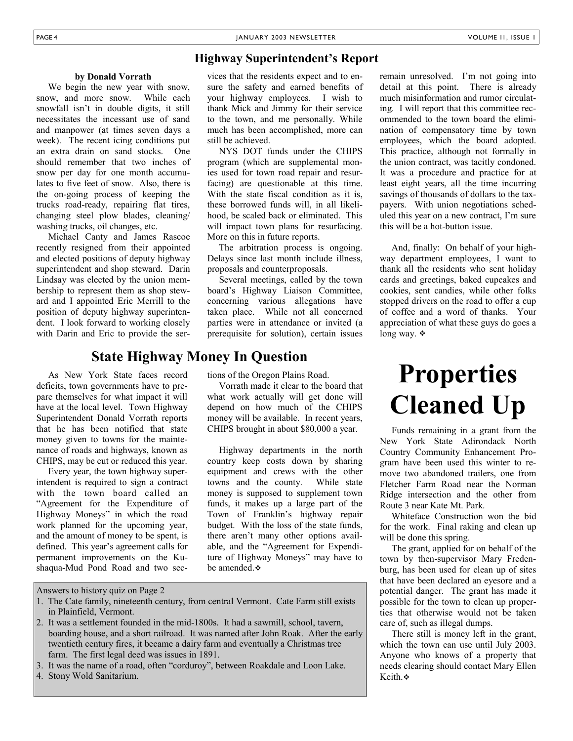#### PAGE 4 JANUARY 2003 NEWSLETTER VOLUME I1, ISSUE 1

### **Highway Superintendent's Report**

#### **by Donald Vorrath**

 We begin the new year with snow, snow, and more snow. While each snowfall isn't in double digits, it still necessitates the incessant use of sand and manpower (at times seven days a week). The recent icing conditions put an extra drain on sand stocks. One should remember that two inches of snow per day for one month accumulates to five feet of snow. Also, there is the on-going process of keeping the trucks road-ready, repairing flat tires, changing steel plow blades, cleaning/ washing trucks, oil changes, etc.

 Michael Canty and James Rascoe recently resigned from their appointed and elected positions of deputy highway superintendent and shop steward. Darin Lindsay was elected by the union membership to represent them as shop steward and I appointed Eric Merrill to the position of deputy highway superintendent. I look forward to working closely with Darin and Eric to provide the ser-

### As New York State faces record deficits, town governments have to pre-**State Highway Money In Question**

pare themselves for what impact it will have at the local level. Town Highway Superintendent Donald Vorrath reports that he has been notified that state money given to towns for the maintenance of roads and highways, known as CHIPS, may be cut or reduced this year.

 Every year, the town highway superintendent is required to sign a contract with the town board called an "Agreement for the Expenditure of Highway Moneys" in which the road work planned for the upcoming year, and the amount of money to be spent, is defined. This year's agreement calls for permanent improvements on the Kushaqua-Mud Pond Road and two sec-

vices that the residents expect and to ensure the safety and earned benefits of your highway employees. I wish to thank Mick and Jimmy for their service to the town, and me personally. While much has been accomplished, more can still be achieved.

 NYS DOT funds under the CHIPS program (which are supplemental monies used for town road repair and resurfacing) are questionable at this time. With the state fiscal condition as it is, these borrowed funds will, in all likelihood, be scaled back or eliminated. This will impact town plans for resurfacing. More on this in future reports.

 The arbitration process is ongoing. Delays since last month include illness, proposals and counterproposals.

 Several meetings, called by the town board's Highway Liaison Committee, concerning various allegations have taken place. While not all concerned parties were in attendance or invited (a prerequisite for solution), certain issues

tions of the Oregon Plains Road.

 Vorrath made it clear to the board that what work actually will get done will depend on how much of the CHIPS money will be available. In recent years, CHIPS brought in about \$80,000 a year.

 Highway departments in the north country keep costs down by sharing equipment and crews with the other towns and the county. While state money is supposed to supplement town funds, it makes up a large part of the Town of Franklin's highway repair budget. With the loss of the state funds, there aren't many other options available, and the "Agreement for Expenditure of Highway Moneys" may have to be amended.

detail at this point. There is already much misinformation and rumor circulating. I will report that this committee recommended to the town board the elimination of compensatory time by town employees, which the board adopted. This practice, although not formally in the union contract, was tacitly condoned. It was a procedure and practice for at least eight years, all the time incurring savings of thousands of dollars to the taxpayers. With union negotiations scheduled this year on a new contract, I'm sure this will be a hot-button issue.

remain unresolved. I'm not going into

 And, finally: On behalf of your highway department employees, I want to thank all the residents who sent holiday cards and greetings, baked cupcakes and cookies, sent candies, while other folks stopped drivers on the road to offer a cup of coffee and a word of thanks. Your appreciation of what these guys do goes a long way. ❖

## **Properties Cleaned Up**

 Funds remaining in a grant from the New York State Adirondack North Country Community Enhancement Program have been used this winter to remove two abandoned trailers, one from Fletcher Farm Road near the Norman Ridge intersection and the other from Route 3 near Kate Mt. Park.

 Whiteface Construction won the bid for the work. Final raking and clean up will be done this spring.

 The grant, applied for on behalf of the town by then-supervisor Mary Fredenburg, has been used for clean up of sites that have been declared an eyesore and a potential danger. The grant has made it possible for the town to clean up properties that otherwise would not be taken care of, such as illegal dumps.

 There still is money left in the grant, which the town can use until July 2003. Anyone who knows of a property that needs clearing should contact Mary Ellen Keith.

Answers to history quiz on Page 2

- 1. The Cate family, nineteenth century, from central Vermont. Cate Farm still exists in Plainfield, Vermont.
- 2. It was a settlement founded in the mid-1800s. It had a sawmill, school, tavern, boarding house, and a short railroad. It was named after John Roak. After the early twentieth century fires, it became a dairy farm and eventually a Christmas tree farm. The first legal deed was issues in 1891.
- 3. It was the name of a road, often "corduroy", between Roakdale and Loon Lake.
- 4. Stony Wold Sanitarium.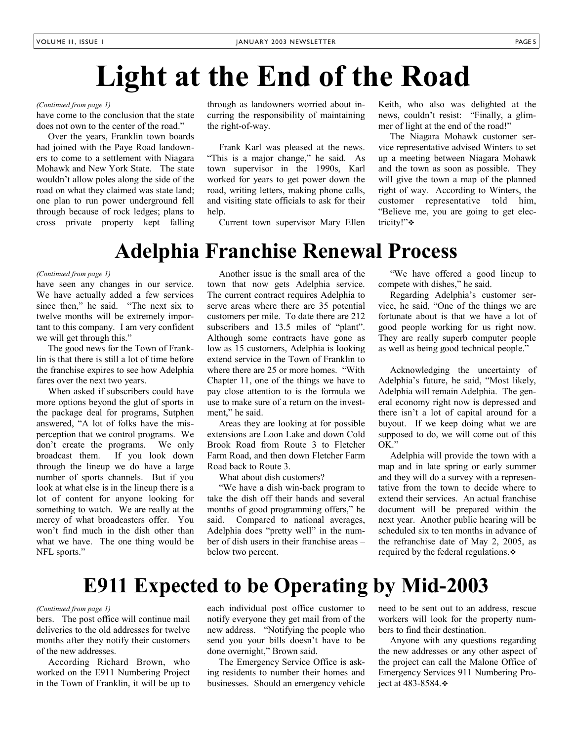## **Light at the End of the Road**

#### *(Continued from page 1)*

have come to the conclusion that the state does not own to the center of the road."

 Over the years, Franklin town boards had joined with the Paye Road landowners to come to a settlement with Niagara Mohawk and New York State. The state wouldn't allow poles along the side of the road on what they claimed was state land; one plan to run power underground fell through because of rock ledges; plans to cross private property kept falling through as landowners worried about incurring the responsibility of maintaining the right-of-way.

 Frank Karl was pleased at the news. "This is a major change," he said. As town supervisor in the 1990s, Karl worked for years to get power down the road, writing letters, making phone calls, and visiting state officials to ask for their help.

Current town supervisor Mary Ellen

Keith, who also was delighted at the news, couldn't resist: "Finally, a glimmer of light at the end of the road!"

 The Niagara Mohawk customer service representative advised Winters to set up a meeting between Niagara Mohawk and the town as soon as possible. They will give the town a map of the planned right of way. According to Winters, the customer representative told him, "Believe me, you are going to get electricity!"❖

## **Adelphia Franchise Renewal Process**

#### *(Continued from page 1)*

have seen any changes in our service. We have actually added a few services since then," he said. "The next six to twelve months will be extremely important to this company. I am very confident we will get through this."

 The good news for the Town of Franklin is that there is still a lot of time before the franchise expires to see how Adelphia fares over the next two years.

 When asked if subscribers could have more options beyond the glut of sports in the package deal for programs, Sutphen answered, "A lot of folks have the misperception that we control programs. We don't create the programs. We only broadcast them. If you look down through the lineup we do have a large number of sports channels. But if you look at what else is in the lineup there is a lot of content for anyone looking for something to watch. We are really at the mercy of what broadcasters offer. You won't find much in the dish other than what we have. The one thing would be NFL sports."

 Another issue is the small area of the town that now gets Adelphia service. The current contract requires Adelphia to serve areas where there are 35 potential customers per mile. To date there are 212 subscribers and 13.5 miles of "plant". Although some contracts have gone as low as 15 customers, Adelphia is looking extend service in the Town of Franklin to where there are 25 or more homes. "With Chapter 11, one of the things we have to pay close attention to is the formula we use to make sure of a return on the investment," he said.

 Areas they are looking at for possible extensions are Loon Lake and down Cold Brook Road from Route 3 to Fletcher Farm Road, and then down Fletcher Farm Road back to Route 3.

What about dish customers?

 "We have a dish win-back program to take the dish off their hands and several months of good programming offers," he said. Compared to national averages, Adelphia does "pretty well" in the number of dish users in their franchise areas – below two percent.

 "We have offered a good lineup to compete with dishes," he said.

 Regarding Adelphia's customer service, he said, "One of the things we are fortunate about is that we have a lot of good people working for us right now. They are really superb computer people as well as being good technical people."

 Acknowledging the uncertainty of Adelphia's future, he said, "Most likely, Adelphia will remain Adelphia. The general economy right now is depressed and there isn't a lot of capital around for a buyout. If we keep doing what we are supposed to do, we will come out of this OK."

 Adelphia will provide the town with a map and in late spring or early summer and they will do a survey with a representative from the town to decide where to extend their services. An actual franchise document will be prepared within the next year. Another public hearing will be scheduled six to ten months in advance of the refranchise date of May 2, 2005, as required by the federal regulations.

## **E911 Expected to be Operating by Mid-2003**

#### *(Continued from page 1)*

bers. The post office will continue mail deliveries to the old addresses for twelve months after they notify their customers of the new addresses.

 According Richard Brown, who worked on the E911 Numbering Project in the Town of Franklin, it will be up to each individual post office customer to notify everyone they get mail from of the new address. "Notifying the people who send you your bills doesn't have to be done overnight," Brown said.

 The Emergency Service Office is asking residents to number their homes and businesses. Should an emergency vehicle need to be sent out to an address, rescue workers will look for the property numbers to find their destination.

 Anyone with any questions regarding the new addresses or any other aspect of the project can call the Malone Office of Emergency Services 911 Numbering Project at 483-8584.